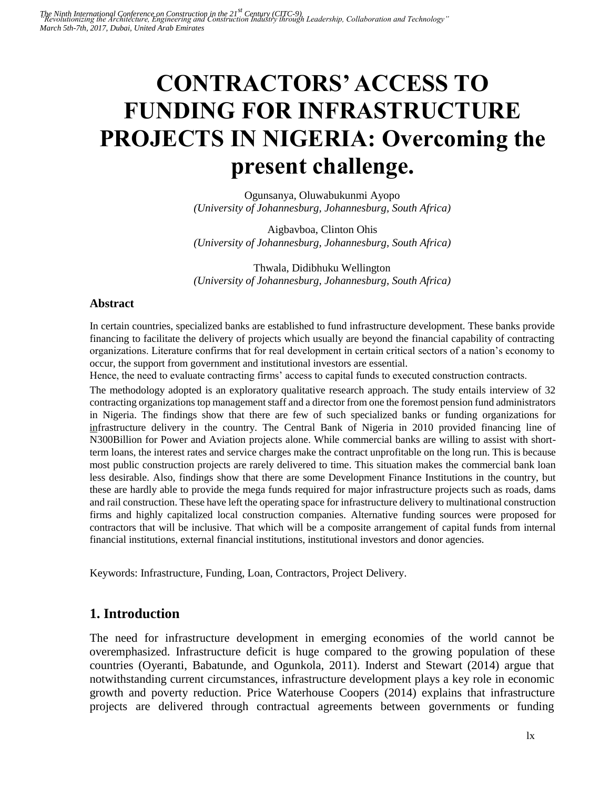# **CONTRACTORS' ACCESS TO FUNDING FOR INFRASTRUCTURE PROJECTS IN NIGERIA: Overcoming the present challenge.**

Ogunsanya, Oluwabukunmi Ayopo *(University of Johannesburg, Johannesburg, South Africa)* 

Aigbavboa, Clinton Ohis *(University of Johannesburg, Johannesburg, South Africa)* 

Thwala, Didibhuku Wellington *(University of Johannesburg, Johannesburg, South Africa)* 

#### **Abstract**

In certain countries, specialized banks are established to fund infrastructure development. These banks provide financing to facilitate the delivery of projects which usually are beyond the financial capability of contracting organizations. Literature confirms that for real development in certain critical sectors of a nation's economy to occur, the support from government and institutional investors are essential.

Hence, the need to evaluate contracting firms' access to capital funds to executed construction contracts.

The methodology adopted is an exploratory qualitative research approach. The study entails interview of 32 contracting organizations top management staff and a director from one the foremost pension fund administrators in Nigeria. The findings show that there are few of such specialized banks or funding organizations for infrastructure delivery in the country. The Central Bank of Nigeria in 2010 provided financing line of N300Billion for Power and Aviation projects alone. While commercial banks are willing to assist with shortterm loans, the interest rates and service charges make the contract unprofitable on the long run. This is because most public construction projects are rarely delivered to time. This situation makes the commercial bank loan less desirable. Also, findings show that there are some Development Finance Institutions in the country, but these are hardly able to provide the mega funds required for major infrastructure projects such as roads, dams and rail construction. These have left the operating space for infrastructure delivery to multinational construction firms and highly capitalized local construction companies. Alternative funding sources were proposed for contractors that will be inclusive. That which will be a composite arrangement of capital funds from internal financial institutions, external financial institutions, institutional investors and donor agencies.

Keywords: Infrastructure, Funding, Loan, Contractors, Project Delivery.

# **1. Introduction**

The need for infrastructure development in emerging economies of the world cannot be overemphasized. Infrastructure deficit is huge compared to the growing population of these countries (Oyeranti, Babatunde, and Ogunkola, 2011). Inderst and Stewart (2014) argue that notwithstanding current circumstances, infrastructure development plays a key role in economic growth and poverty reduction. Price Waterhouse Coopers (2014) explains that infrastructure projects are delivered through contractual agreements between governments or funding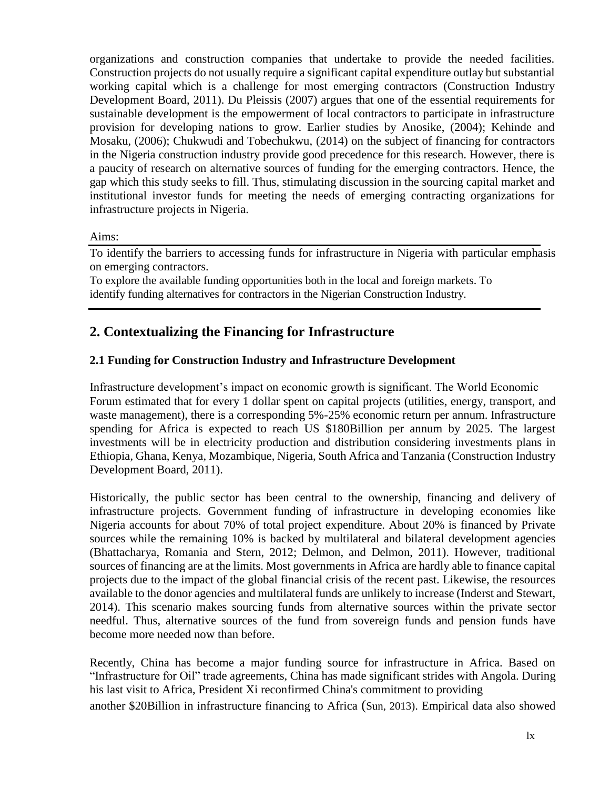organizations and construction companies that undertake to provide the needed facilities. Construction projects do not usually require a significant capital expenditure outlay but substantial working capital which is a challenge for most emerging contractors (Construction Industry Development Board, 2011). Du Pleissis (2007) argues that one of the essential requirements for sustainable development is the empowerment of local contractors to participate in infrastructure provision for developing nations to grow. Earlier studies by Anosike, (2004); Kehinde and Mosaku, (2006); Chukwudi and Tobechukwu, (2014) on the subject of financing for contractors in the Nigeria construction industry provide good precedence for this research. However, there is a paucity of research on alternative sources of funding for the emerging contractors. Hence, the gap which this study seeks to fill. Thus, stimulating discussion in the sourcing capital market and institutional investor funds for meeting the needs of emerging contracting organizations for infrastructure projects in Nigeria.

#### Aims:

To identify the barriers to accessing funds for infrastructure in Nigeria with particular emphasis on emerging contractors.

To explore the available funding opportunities both in the local and foreign markets. To identify funding alternatives for contractors in the Nigerian Construction Industry.

## **2. Contextualizing the Financing for Infrastructure**

#### **2.1 Funding for Construction Industry and Infrastructure Development**

Infrastructure development's impact on economic growth is significant. The World Economic Forum estimated that for every 1 dollar spent on capital projects (utilities, energy, transport, and waste management), there is a corresponding 5%-25% economic return per annum. Infrastructure spending for Africa is expected to reach US \$180Billion per annum by 2025. The largest investments will be in electricity production and distribution considering investments plans in Ethiopia, Ghana, Kenya, Mozambique, Nigeria, South Africa and Tanzania (Construction Industry Development Board, 2011).

Historically, the public sector has been central to the ownership, financing and delivery of infrastructure projects. Government funding of infrastructure in developing economies like Nigeria accounts for about 70% of total project expenditure. About 20% is financed by Private sources while the remaining 10% is backed by multilateral and bilateral development agencies (Bhattacharya, Romania and Stern, 2012; Delmon, and Delmon, 2011). However, traditional sources of financing are at the limits. Most governments in Africa are hardly able to finance capital projects due to the impact of the global financial crisis of the recent past. Likewise, the resources available to the donor agencies and multilateral funds are unlikely to increase (Inderst and Stewart, 2014). This scenario makes sourcing funds from alternative sources within the private sector needful. Thus, alternative sources of the fund from sovereign funds and pension funds have become more needed now than before.

Recently, China has become a major funding source for infrastructure in Africa. Based on "Infrastructure for Oil" trade agreements, China has made significant strides with Angola. During his last visit to Africa, President Xi reconfirmed China's commitment to providing another \$20Billion in infrastructure financing to Africa (Sun, 2013). Empirical data also showed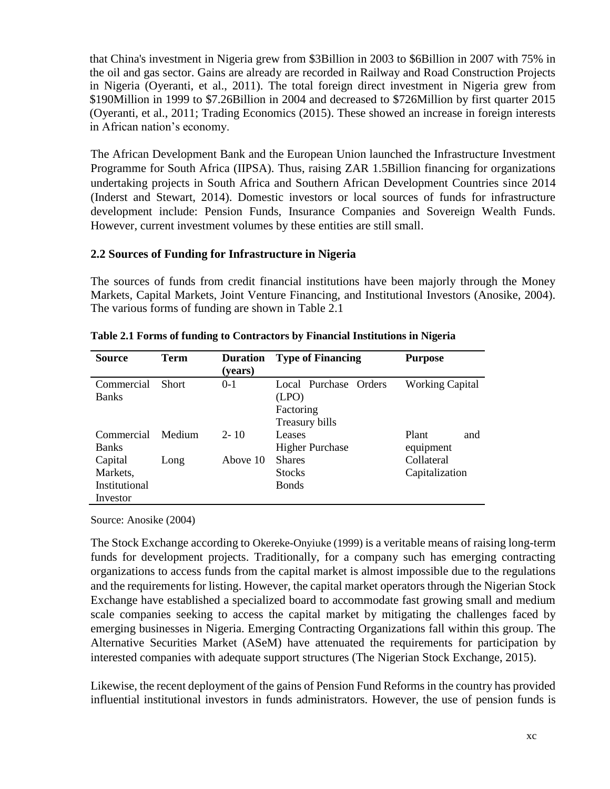that China's investment in Nigeria grew from \$3Billion in 2003 to \$6Billion in 2007 with 75% in the oil and gas sector. Gains are already are recorded in Railway and Road Construction Projects in Nigeria (Oyeranti, et al., 2011). The total foreign direct investment in Nigeria grew from \$190Million in 1999 to \$7.26Billion in 2004 and decreased to \$726Million by first quarter 2015 (Oyeranti, et al., 2011; Trading Economics (2015). These showed an increase in foreign interests in African nation's economy.

The African Development Bank and the European Union launched the Infrastructure Investment Programme for South Africa (IIPSA). Thus, raising ZAR 1.5Billion financing for organizations undertaking projects in South Africa and Southern African Development Countries since 2014 (Inderst and Stewart, 2014). Domestic investors or local sources of funds for infrastructure development include: Pension Funds, Insurance Companies and Sovereign Wealth Funds. However, current investment volumes by these entities are still small.

#### **2.2 Sources of Funding for Infrastructure in Nigeria**

The sources of funds from credit financial institutions have been majorly through the Money Markets, Capital Markets, Joint Venture Financing, and Institutional Investors (Anosike, 2004). The various forms of funding are shown in Table 2.1

| <b>Source</b>                                    | <b>Term</b>  | <b>Duration</b><br>(years) | <b>Type of Financing</b>                                      | <b>Purpose</b>               |
|--------------------------------------------------|--------------|----------------------------|---------------------------------------------------------------|------------------------------|
| Commercial<br><b>Banks</b>                       | <b>Short</b> | $0-1$                      | Local Purchase Orders<br>(LPO)<br>Factoring<br>Treasury bills | <b>Working Capital</b>       |
| Commercial<br><b>Banks</b>                       | Medium       | $2 - 10$                   | Leases<br><b>Higher Purchase</b>                              | Plant<br>and<br>equipment    |
| Capital<br>Markets,<br>Institutional<br>Investor | Long         | Above 10                   | <b>Shares</b><br><b>Stocks</b><br><b>Bonds</b>                | Collateral<br>Capitalization |

| Table 2.1 Forms of funding to Contractors by Financial Institutions in Nigeria |  |  |
|--------------------------------------------------------------------------------|--|--|
|                                                                                |  |  |
|                                                                                |  |  |

Source: Anosike (2004)

The Stock Exchange according to Okereke-Onyiuke (1999) is a veritable means of raising long-term funds for development projects. Traditionally, for a company such has emerging contracting organizations to access funds from the capital market is almost impossible due to the regulations and the requirements for listing. However, the capital market operators through the Nigerian Stock Exchange have established a specialized board to accommodate fast growing small and medium scale companies seeking to access the capital market by mitigating the challenges faced by emerging businesses in Nigeria. Emerging Contracting Organizations fall within this group. The Alternative Securities Market (ASeM) have attenuated the requirements for participation by interested companies with adequate support structures (The Nigerian Stock Exchange, 2015).

Likewise, the recent deployment of the gains of Pension Fund Reforms in the country has provided influential institutional investors in funds administrators. However, the use of pension funds is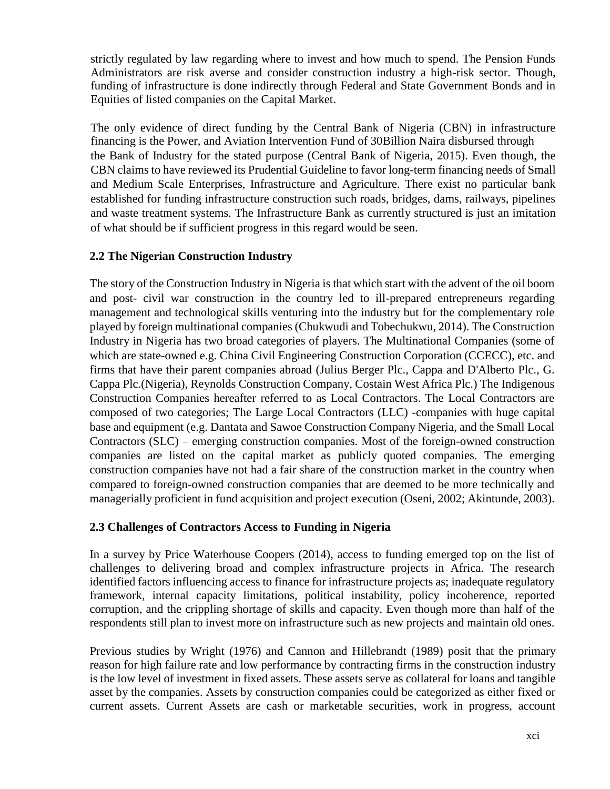strictly regulated by law regarding where to invest and how much to spend. The Pension Funds Administrators are risk averse and consider construction industry a high-risk sector. Though, funding of infrastructure is done indirectly through Federal and State Government Bonds and in Equities of listed companies on the Capital Market.

The only evidence of direct funding by the Central Bank of Nigeria (CBN) in infrastructure financing is the Power, and Aviation Intervention Fund of 30Billion Naira disbursed through the Bank of Industry for the stated purpose (Central Bank of Nigeria, 2015). Even though, the CBN claims to have reviewed its Prudential Guideline to favor long-term financing needs of Small and Medium Scale Enterprises, Infrastructure and Agriculture. There exist no particular bank established for funding infrastructure construction such roads, bridges, dams, railways, pipelines and waste treatment systems. The Infrastructure Bank as currently structured is just an imitation of what should be if sufficient progress in this regard would be seen.

#### **2.2 The Nigerian Construction Industry**

The story of the Construction Industry in Nigeria is that which start with the advent of the oil boom and post- civil war construction in the country led to ill-prepared entrepreneurs regarding management and technological skills venturing into the industry but for the complementary role played by foreign multinational companies (Chukwudi and Tobechukwu, 2014). The Construction Industry in Nigeria has two broad categories of players. The Multinational Companies (some of which are state-owned e.g. China Civil Engineering Construction Corporation (CCECC), etc. and firms that have their parent companies abroad (Julius Berger Plc., Cappa and D'Alberto Plc., G. Cappa Plc.(Nigeria), Reynolds Construction Company, Costain West Africa Plc.) The Indigenous Construction Companies hereafter referred to as Local Contractors. The Local Contractors are composed of two categories; The Large Local Contractors (LLC) -companies with huge capital base and equipment (e.g. Dantata and Sawoe Construction Company Nigeria, and the Small Local Contractors (SLC) – emerging construction companies. Most of the foreign-owned construction companies are listed on the capital market as publicly quoted companies. The emerging construction companies have not had a fair share of the construction market in the country when compared to foreign-owned construction companies that are deemed to be more technically and managerially proficient in fund acquisition and project execution (Oseni, 2002; Akintunde, 2003).

#### **2.3 Challenges of Contractors Access to Funding in Nigeria**

In a survey by Price Waterhouse Coopers (2014), access to funding emerged top on the list of challenges to delivering broad and complex infrastructure projects in Africa. The research identified factors influencing access to finance for infrastructure projects as; inadequate regulatory framework, internal capacity limitations, political instability, policy incoherence, reported corruption, and the crippling shortage of skills and capacity. Even though more than half of the respondents still plan to invest more on infrastructure such as new projects and maintain old ones.

Previous studies by Wright (1976) and Cannon and Hillebrandt (1989) posit that the primary reason for high failure rate and low performance by contracting firms in the construction industry is the low level of investment in fixed assets. These assets serve as collateral for loans and tangible asset by the companies. Assets by construction companies could be categorized as either fixed or current assets. Current Assets are cash or marketable securities, work in progress, account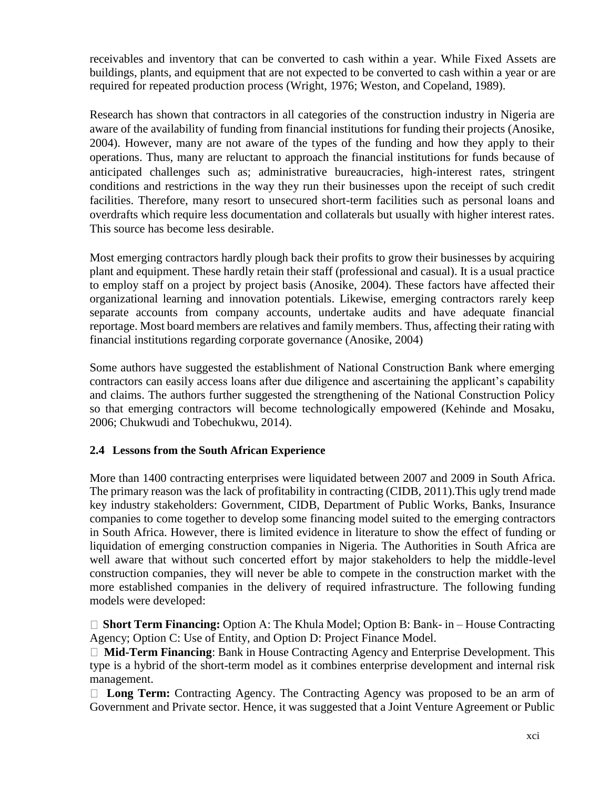receivables and inventory that can be converted to cash within a year. While Fixed Assets are buildings, plants, and equipment that are not expected to be converted to cash within a year or are required for repeated production process (Wright, 1976; Weston, and Copeland, 1989).

Research has shown that contractors in all categories of the construction industry in Nigeria are aware of the availability of funding from financial institutions for funding their projects (Anosike, 2004). However, many are not aware of the types of the funding and how they apply to their operations. Thus, many are reluctant to approach the financial institutions for funds because of anticipated challenges such as; administrative bureaucracies, high-interest rates, stringent conditions and restrictions in the way they run their businesses upon the receipt of such credit facilities. Therefore, many resort to unsecured short-term facilities such as personal loans and overdrafts which require less documentation and collaterals but usually with higher interest rates. This source has become less desirable.

Most emerging contractors hardly plough back their profits to grow their businesses by acquiring plant and equipment. These hardly retain their staff (professional and casual). It is a usual practice to employ staff on a project by project basis (Anosike, 2004). These factors have affected their organizational learning and innovation potentials. Likewise, emerging contractors rarely keep separate accounts from company accounts, undertake audits and have adequate financial reportage. Most board members are relatives and family members. Thus, affecting their rating with financial institutions regarding corporate governance (Anosike, 2004)

Some authors have suggested the establishment of National Construction Bank where emerging contractors can easily access loans after due diligence and ascertaining the applicant's capability and claims. The authors further suggested the strengthening of the National Construction Policy so that emerging contractors will become technologically empowered (Kehinde and Mosaku, 2006; Chukwudi and Tobechukwu, 2014).

#### **2.4 Lessons from the South African Experience**

More than 1400 contracting enterprises were liquidated between 2007 and 2009 in South Africa. The primary reason was the lack of profitability in contracting (CIDB, 2011).This ugly trend made key industry stakeholders: Government, CIDB, Department of Public Works, Banks, Insurance companies to come together to develop some financing model suited to the emerging contractors in South Africa. However, there is limited evidence in literature to show the effect of funding or liquidation of emerging construction companies in Nigeria. The Authorities in South Africa are well aware that without such concerted effort by major stakeholders to help the middle-level construction companies, they will never be able to compete in the construction market with the more established companies in the delivery of required infrastructure. The following funding models were developed:

□ **Short Term Financing:** Option A: The Khula Model; Option B: Bank- in – House Contracting Agency; Option C: Use of Entity, and Option D: Project Finance Model.

**Mid-Term Financing**: Bank in House Contracting Agency and Enterprise Development. This type is a hybrid of the short-term model as it combines enterprise development and internal risk management.

**Long Term:** Contracting Agency. The Contracting Agency was proposed to be an arm of Government and Private sector. Hence, it was suggested that a Joint Venture Agreement or Public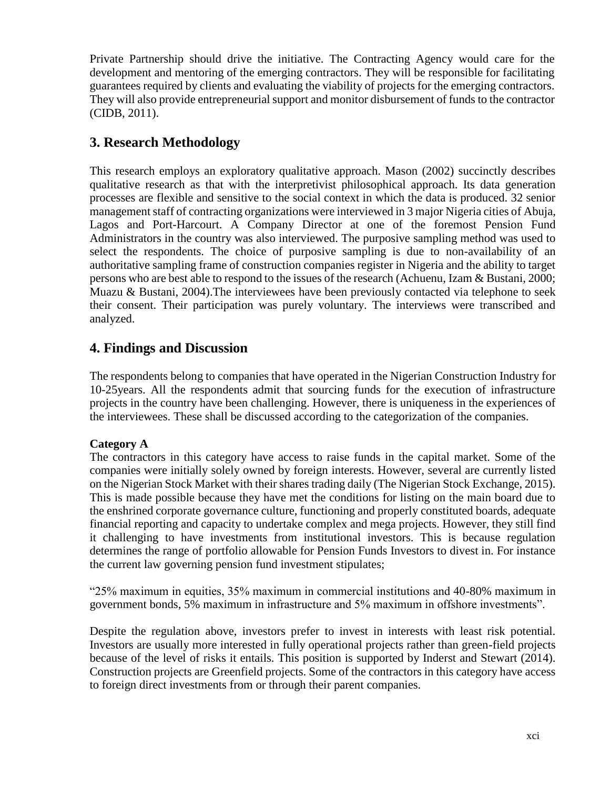Private Partnership should drive the initiative. The Contracting Agency would care for the development and mentoring of the emerging contractors. They will be responsible for facilitating guarantees required by clients and evaluating the viability of projects for the emerging contractors. They will also provide entrepreneurial support and monitor disbursement of funds to the contractor (CIDB, 2011).

# **3. Research Methodology**

This research employs an exploratory qualitative approach. Mason (2002) succinctly describes qualitative research as that with the interpretivist philosophical approach. Its data generation processes are flexible and sensitive to the social context in which the data is produced. 32 senior management staff of contracting organizations were interviewed in 3 major Nigeria cities of Abuja, Lagos and Port-Harcourt. A Company Director at one of the foremost Pension Fund Administrators in the country was also interviewed. The purposive sampling method was used to select the respondents. The choice of purposive sampling is due to non-availability of an authoritative sampling frame of construction companies register in Nigeria and the ability to target persons who are best able to respond to the issues of the research (Achuenu, Izam & Bustani, 2000; Muazu & Bustani, 2004).The interviewees have been previously contacted via telephone to seek their consent. Their participation was purely voluntary. The interviews were transcribed and analyzed.

# **4. Findings and Discussion**

The respondents belong to companies that have operated in the Nigerian Construction Industry for 10-25years. All the respondents admit that sourcing funds for the execution of infrastructure projects in the country have been challenging. However, there is uniqueness in the experiences of the interviewees. These shall be discussed according to the categorization of the companies.

## **Category A**

The contractors in this category have access to raise funds in the capital market. Some of the companies were initially solely owned by foreign interests. However, several are currently listed on the Nigerian Stock Market with their shares trading daily (The Nigerian Stock Exchange, 2015). This is made possible because they have met the conditions for listing on the main board due to the enshrined corporate governance culture, functioning and properly constituted boards, adequate financial reporting and capacity to undertake complex and mega projects. However, they still find it challenging to have investments from institutional investors. This is because regulation determines the range of portfolio allowable for Pension Funds Investors to divest in. For instance the current law governing pension fund investment stipulates;

"25% maximum in equities, 35% maximum in commercial institutions and 40-80% maximum in government bonds, 5% maximum in infrastructure and 5% maximum in offshore investments".

Despite the regulation above, investors prefer to invest in interests with least risk potential. Investors are usually more interested in fully operational projects rather than green-field projects because of the level of risks it entails. This position is supported by Inderst and Stewart (2014). Construction projects are Greenfield projects. Some of the contractors in this category have access to foreign direct investments from or through their parent companies.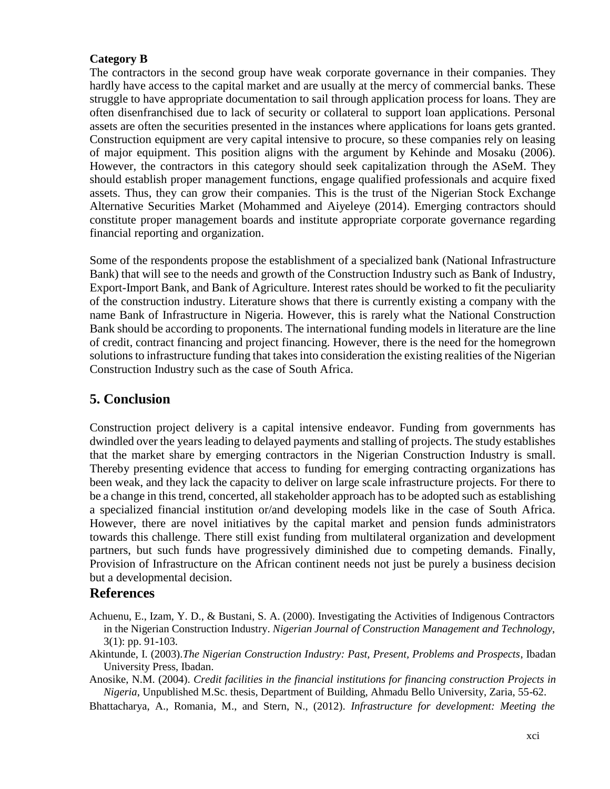#### **Category B**

The contractors in the second group have weak corporate governance in their companies. They hardly have access to the capital market and are usually at the mercy of commercial banks. These struggle to have appropriate documentation to sail through application process for loans. They are often disenfranchised due to lack of security or collateral to support loan applications. Personal assets are often the securities presented in the instances where applications for loans gets granted. Construction equipment are very capital intensive to procure, so these companies rely on leasing of major equipment. This position aligns with the argument by Kehinde and Mosaku (2006). However, the contractors in this category should seek capitalization through the ASeM. They should establish proper management functions, engage qualified professionals and acquire fixed assets. Thus, they can grow their companies. This is the trust of the Nigerian Stock Exchange Alternative Securities Market (Mohammed and Aiyeleye (2014). Emerging contractors should constitute proper management boards and institute appropriate corporate governance regarding financial reporting and organization.

Some of the respondents propose the establishment of a specialized bank (National Infrastructure Bank) that will see to the needs and growth of the Construction Industry such as Bank of Industry, Export-Import Bank, and Bank of Agriculture. Interest rates should be worked to fit the peculiarity of the construction industry. Literature shows that there is currently existing a company with the name Bank of Infrastructure in Nigeria. However, this is rarely what the National Construction Bank should be according to proponents. The international funding models in literature are the line of credit, contract financing and project financing. However, there is the need for the homegrown solutions to infrastructure funding that takes into consideration the existing realities of the Nigerian Construction Industry such as the case of South Africa.

## **5. Conclusion**

Construction project delivery is a capital intensive endeavor. Funding from governments has dwindled over the years leading to delayed payments and stalling of projects. The study establishes that the market share by emerging contractors in the Nigerian Construction Industry is small. Thereby presenting evidence that access to funding for emerging contracting organizations has been weak, and they lack the capacity to deliver on large scale infrastructure projects. For there to be a change in this trend, concerted, all stakeholder approach has to be adopted such as establishing a specialized financial institution or/and developing models like in the case of South Africa. However, there are novel initiatives by the capital market and pension funds administrators towards this challenge. There still exist funding from multilateral organization and development partners, but such funds have progressively diminished due to competing demands. Finally, Provision of Infrastructure on the African continent needs not just be purely a business decision but a developmental decision.

#### **References**

- Achuenu, E., Izam, Y. D., & Bustani, S. A. (2000). Investigating the Activities of Indigenous Contractors in the Nigerian Construction Industry. *Nigerian Journal of Construction Management and Technology*, 3(1): pp. 91-103.
- Akintunde, I. (2003).*The Nigerian Construction Industry: Past, Present, Problems and Prospects*, Ibadan University Press, Ibadan.
- Anosike, N.M. (2004). *Credit facilities in the financial institutions for financing construction Projects in Nigeria*, Unpublished M.Sc. thesis, Department of Building, Ahmadu Bello University, Zaria, 55-62.

Bhattacharya, A., Romania, M., and Stern, N., (2012). *Infrastructure for development: Meeting the*